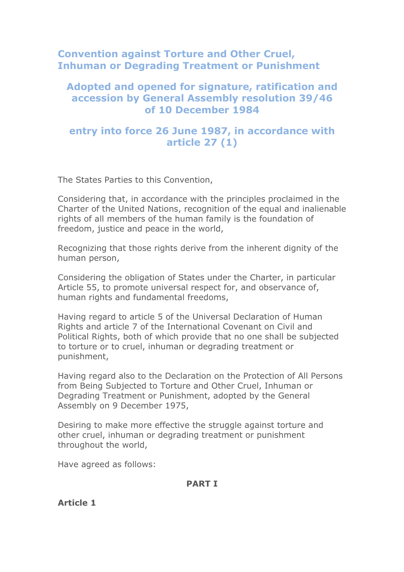**Convention against Torture and Other Cruel, Inhuman or Degrading Treatment or Punishment**

# **Adopted and opened for signature, ratification and accession by General Assembly resolution 39/46 of 10 December 1984**

# **entry into force 26 June 1987, in accordance with article 27 (1)**

The States Parties to this Convention,

Considering that, in accordance with the principles proclaimed in the Charter of the United Nations, recognition of the equal and inalienable rights of all members of the human family is the foundation of freedom, justice and peace in the world,

Recognizing that those rights derive from the inherent dignity of the human person,

Considering the obligation of States under the Charter, in particular Article 55, to promote universal respect for, and observance of, human rights and fundamental freedoms,

Having regard to article 5 of the Universal Declaration of Human Rights and article 7 of the International Covenant on Civil and Political Rights, both of which provide that no one shall be subjected to torture or to cruel, inhuman or degrading treatment or punishment,

Having regard also to the Declaration on the Protection of All Persons from Being Subjected to Torture and Other Cruel, Inhuman or Degrading Treatment or Punishment, adopted by the General Assembly on 9 December 1975,

Desiring to make more effective the struggle against torture and other cruel, inhuman or degrading treatment or punishment throughout the world,

Have agreed as follows:

**PART I**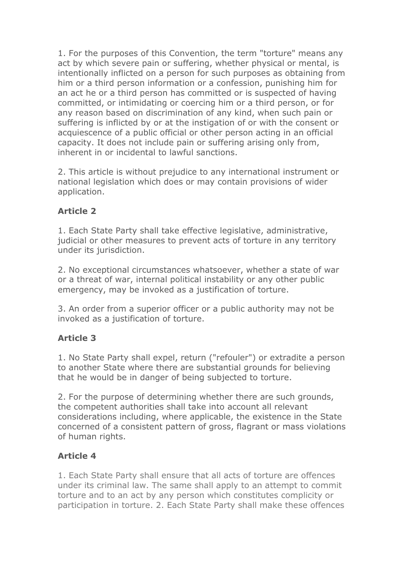1. For the purposes of this Convention, the term "torture" means any act by which severe pain or suffering, whether physical or mental, is intentionally inflicted on a person for such purposes as obtaining from him or a third person information or a confession, punishing him for an act he or a third person has committed or is suspected of having committed, or intimidating or coercing him or a third person, or for any reason based on discrimination of any kind, when such pain or suffering is inflicted by or at the instigation of or with the consent or acquiescence of a public official or other person acting in an official capacity. It does not include pain or suffering arising only from, inherent in or incidental to lawful sanctions.

2. This article is without prejudice to any international instrument or national legislation which does or may contain provisions of wider application.

# **Article 2**

1. Each State Party shall take effective legislative, administrative, judicial or other measures to prevent acts of torture in any territory under its jurisdiction.

2. No exceptional circumstances whatsoever, whether a state of war or a threat of war, internal political instability or any other public emergency, may be invoked as a justification of torture.

3. An order from a superior officer or a public authority may not be invoked as a justification of torture.

# **Article 3**

1. No State Party shall expel, return ("refouler") or extradite a person to another State where there are substantial grounds for believing that he would be in danger of being subjected to torture.

2. For the purpose of determining whether there are such grounds, the competent authorities shall take into account all relevant considerations including, where applicable, the existence in the State concerned of a consistent pattern of gross, flagrant or mass violations of human rights.

# **Article 4**

1. Each State Party shall ensure that all acts of torture are offences under its criminal law. The same shall apply to an attempt to commit torture and to an act by any person which constitutes complicity or participation in torture. 2. Each State Party shall make these offences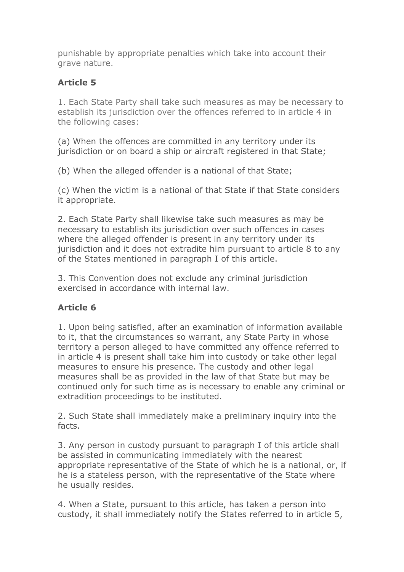punishable by appropriate penalties which take into account their grave nature.

# **Article 5**

1. Each State Party shall take such measures as may be necessary to establish its jurisdiction over the offences referred to in article 4 in the following cases:

(a) When the offences are committed in any territory under its jurisdiction or on board a ship or aircraft registered in that State;

(b) When the alleged offender is a national of that State;

(c) When the victim is a national of that State if that State considers it appropriate.

2. Each State Party shall likewise take such measures as may be necessary to establish its jurisdiction over such offences in cases where the alleged offender is present in any territory under its jurisdiction and it does not extradite him pursuant to article 8 to any of the States mentioned in paragraph I of this article.

3. This Convention does not exclude any criminal jurisdiction exercised in accordance with internal law.

# **Article 6**

1. Upon being satisfied, after an examination of information available to it, that the circumstances so warrant, any State Party in whose territory a person alleged to have committed any offence referred to in article 4 is present shall take him into custody or take other legal measures to ensure his presence. The custody and other legal measures shall be as provided in the law of that State but may be continued only for such time as is necessary to enable any criminal or extradition proceedings to be instituted.

2. Such State shall immediately make a preliminary inquiry into the facts.

3. Any person in custody pursuant to paragraph I of this article shall be assisted in communicating immediately with the nearest appropriate representative of the State of which he is a national, or, if he is a stateless person, with the representative of the State where he usually resides.

4. When a State, pursuant to this article, has taken a person into custody, it shall immediately notify the States referred to in article 5,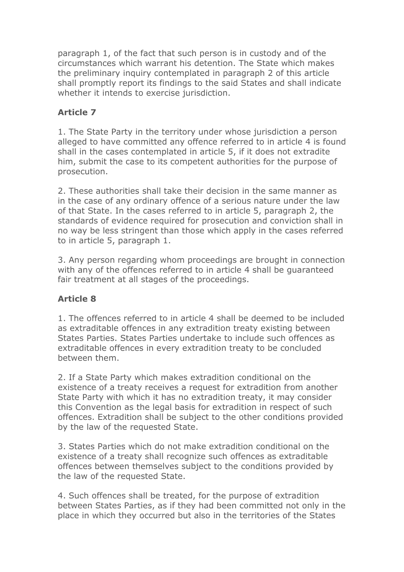paragraph 1, of the fact that such person is in custody and of the circumstances which warrant his detention. The State which makes the preliminary inquiry contemplated in paragraph 2 of this article shall promptly report its findings to the said States and shall indicate whether it intends to exercise jurisdiction.

# **Article 7**

1. The State Party in the territory under whose jurisdiction a person alleged to have committed any offence referred to in article 4 is found shall in the cases contemplated in article 5, if it does not extradite him, submit the case to its competent authorities for the purpose of prosecution.

2. These authorities shall take their decision in the same manner as in the case of any ordinary offence of a serious nature under the law of that State. In the cases referred to in article 5, paragraph 2, the standards of evidence required for prosecution and conviction shall in no way be less stringent than those which apply in the cases referred to in article 5, paragraph 1.

3. Any person regarding whom proceedings are brought in connection with any of the offences referred to in article 4 shall be guaranteed fair treatment at all stages of the proceedings.

# **Article 8**

1. The offences referred to in article 4 shall be deemed to be included as extraditable offences in any extradition treaty existing between States Parties. States Parties undertake to include such offences as extraditable offences in every extradition treaty to be concluded between them.

2. If a State Party which makes extradition conditional on the existence of a treaty receives a request for extradition from another State Party with which it has no extradition treaty, it may consider this Convention as the legal basis for extradition in respect of such offences. Extradition shall be subject to the other conditions provided by the law of the requested State.

3. States Parties which do not make extradition conditional on the existence of a treaty shall recognize such offences as extraditable offences between themselves subject to the conditions provided by the law of the requested State.

4. Such offences shall be treated, for the purpose of extradition between States Parties, as if they had been committed not only in the place in which they occurred but also in the territories of the States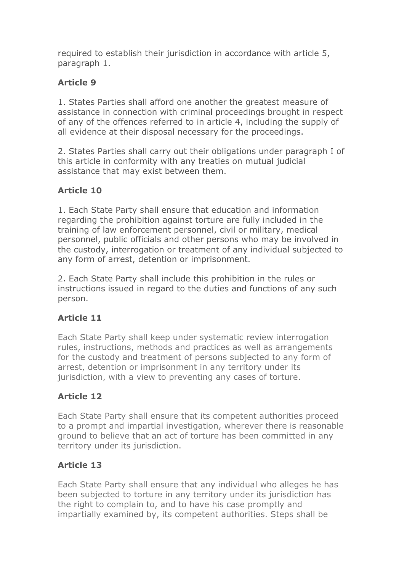required to establish their jurisdiction in accordance with article 5, paragraph 1.

# **Article 9**

1. States Parties shall afford one another the greatest measure of assistance in connection with criminal proceedings brought in respect of any of the offences referred to in article 4, including the supply of all evidence at their disposal necessary for the proceedings.

2. States Parties shall carry out their obligations under paragraph I of this article in conformity with any treaties on mutual judicial assistance that may exist between them.

# **Article 10**

1. Each State Party shall ensure that education and information regarding the prohibition against torture are fully included in the training of law enforcement personnel, civil or military, medical personnel, public officials and other persons who may be involved in the custody, interrogation or treatment of any individual subjected to any form of arrest, detention or imprisonment.

2. Each State Party shall include this prohibition in the rules or instructions issued in regard to the duties and functions of any such person.

# **Article 11**

Each State Party shall keep under systematic review interrogation rules, instructions, methods and practices as well as arrangements for the custody and treatment of persons subjected to any form of arrest, detention or imprisonment in any territory under its jurisdiction, with a view to preventing any cases of torture.

# **Article 12**

Each State Party shall ensure that its competent authorities proceed to a prompt and impartial investigation, wherever there is reasonable ground to believe that an act of torture has been committed in any territory under its jurisdiction.

# **Article 13**

Each State Party shall ensure that any individual who alleges he has been subjected to torture in any territory under its jurisdiction has the right to complain to, and to have his case promptly and impartially examined by, its competent authorities. Steps shall be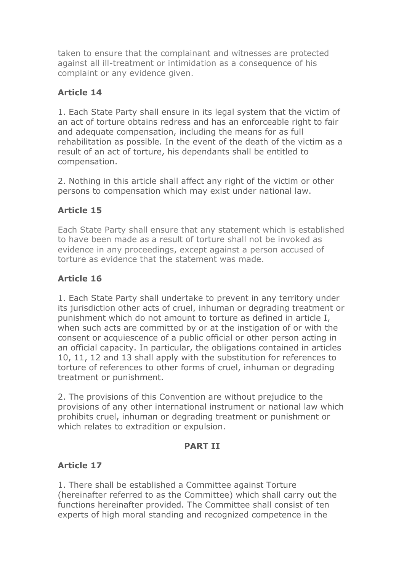taken to ensure that the complainant and witnesses are protected against all ill-treatment or intimidation as a consequence of his complaint or any evidence given.

# **Article 14**

1. Each State Party shall ensure in its legal system that the victim of an act of torture obtains redress and has an enforceable right to fair and adequate compensation, including the means for as full rehabilitation as possible. In the event of the death of the victim as a result of an act of torture, his dependants shall be entitled to compensation.

2. Nothing in this article shall affect any right of the victim or other persons to compensation which may exist under national law.

# **Article 15**

Each State Party shall ensure that any statement which is established to have been made as a result of torture shall not be invoked as evidence in any proceedings, except against a person accused of torture as evidence that the statement was made.

# **Article 16**

1. Each State Party shall undertake to prevent in any territory under its jurisdiction other acts of cruel, inhuman or degrading treatment or punishment which do not amount to torture as defined in article I, when such acts are committed by or at the instigation of or with the consent or acquiescence of a public official or other person acting in an official capacity. In particular, the obligations contained in articles 10, 11, 12 and 13 shall apply with the substitution for references to torture of references to other forms of cruel, inhuman or degrading treatment or punishment.

2. The provisions of this Convention are without prejudice to the provisions of any other international instrument or national law which prohibits cruel, inhuman or degrading treatment or punishment or which relates to extradition or expulsion.

# **PART II**

# **Article 17**

1. There shall be established a Committee against Torture (hereinafter referred to as the Committee) which shall carry out the functions hereinafter provided. The Committee shall consist of ten experts of high moral standing and recognized competence in the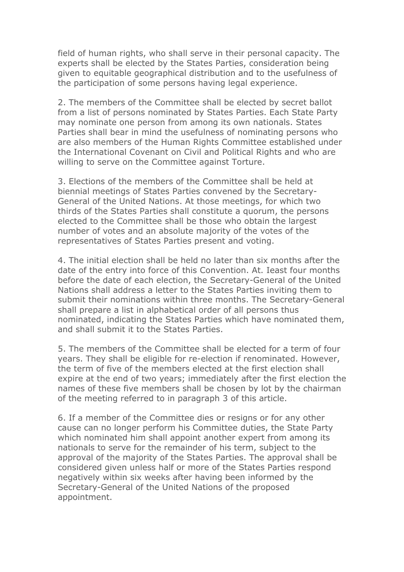field of human rights, who shall serve in their personal capacity. The experts shall be elected by the States Parties, consideration being given to equitable geographical distribution and to the usefulness of the participation of some persons having legal experience.

2. The members of the Committee shall be elected by secret ballot from a list of persons nominated by States Parties. Each State Party may nominate one person from among its own nationals. States Parties shall bear in mind the usefulness of nominating persons who are also members of the Human Rights Committee established under the International Covenant on Civil and Political Rights and who are willing to serve on the Committee against Torture.

3. Elections of the members of the Committee shall be held at biennial meetings of States Parties convened by the Secretary-General of the United Nations. At those meetings, for which two thirds of the States Parties shall constitute a quorum, the persons elected to the Committee shall be those who obtain the largest number of votes and an absolute majority of the votes of the representatives of States Parties present and voting.

4. The initial election shall be held no later than six months after the date of the entry into force of this Convention. At. Ieast four months before the date of each election, the Secretary-General of the United Nations shall address a letter to the States Parties inviting them to submit their nominations within three months. The Secretary-General shall prepare a list in alphabetical order of all persons thus nominated, indicating the States Parties which have nominated them, and shall submit it to the States Parties.

5. The members of the Committee shall be elected for a term of four years. They shall be eligible for re-election if renominated. However, the term of five of the members elected at the first election shall expire at the end of two years; immediately after the first election the names of these five members shall be chosen by lot by the chairman of the meeting referred to in paragraph 3 of this article.

6. If a member of the Committee dies or resigns or for any other cause can no longer perform his Committee duties, the State Party which nominated him shall appoint another expert from among its nationals to serve for the remainder of his term, subject to the approval of the majority of the States Parties. The approval shall be considered given unless half or more of the States Parties respond negatively within six weeks after having been informed by the Secretary-General of the United Nations of the proposed appointment.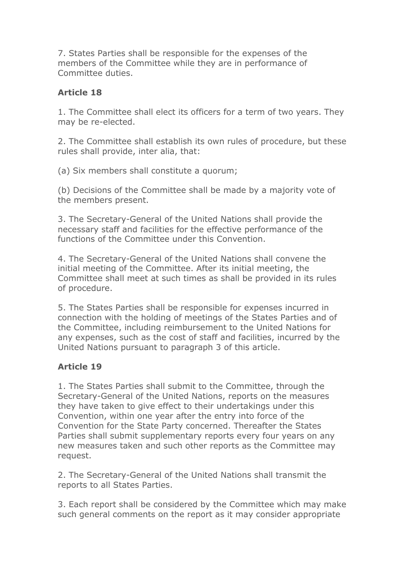7. States Parties shall be responsible for the expenses of the members of the Committee while they are in performance of Committee duties.

# **Article 18**

1. The Committee shall elect its officers for a term of two years. They may be re-elected.

2. The Committee shall establish its own rules of procedure, but these rules shall provide, inter alia, that:

(a) Six members shall constitute a quorum;

(b) Decisions of the Committee shall be made by a majority vote of the members present.

3. The Secretary-General of the United Nations shall provide the necessary staff and facilities for the effective performance of the functions of the Committee under this Convention.

4. The Secretary-General of the United Nations shall convene the initial meeting of the Committee. After its initial meeting, the Committee shall meet at such times as shall be provided in its rules of procedure.

5. The States Parties shall be responsible for expenses incurred in connection with the holding of meetings of the States Parties and of the Committee, including reimbursement to the United Nations for any expenses, such as the cost of staff and facilities, incurred by the United Nations pursuant to paragraph 3 of this article.

# **Article 19**

1. The States Parties shall submit to the Committee, through the Secretary-General of the United Nations, reports on the measures they have taken to give effect to their undertakings under this Convention, within one year after the entry into force of the Convention for the State Party concerned. Thereafter the States Parties shall submit supplementary reports every four years on any new measures taken and such other reports as the Committee may request.

2. The Secretary-General of the United Nations shall transmit the reports to all States Parties.

3. Each report shall be considered by the Committee which may make such general comments on the report as it may consider appropriate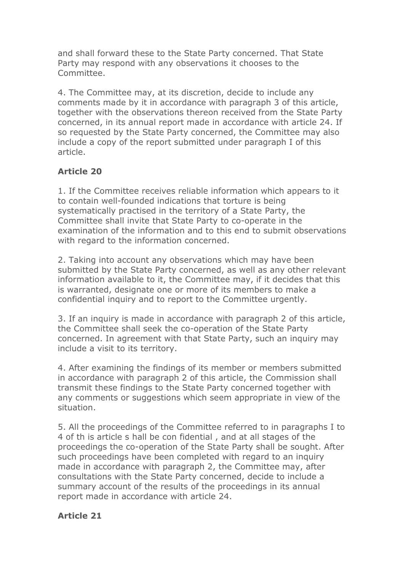and shall forward these to the State Party concerned. That State Party may respond with any observations it chooses to the Committee.

4. The Committee may, at its discretion, decide to include any comments made by it in accordance with paragraph 3 of this article, together with the observations thereon received from the State Party concerned, in its annual report made in accordance with article 24. If so requested by the State Party concerned, the Committee may also include a copy of the report submitted under paragraph I of this article.

# **Article 20**

1. If the Committee receives reliable information which appears to it to contain well-founded indications that torture is being systematically practised in the territory of a State Party, the Committee shall invite that State Party to co-operate in the examination of the information and to this end to submit observations with regard to the information concerned.

2. Taking into account any observations which may have been submitted by the State Party concerned, as well as any other relevant information available to it, the Committee may, if it decides that this is warranted, designate one or more of its members to make a confidential inquiry and to report to the Committee urgently.

3. If an inquiry is made in accordance with paragraph 2 of this article, the Committee shall seek the co-operation of the State Party concerned. In agreement with that State Party, such an inquiry may include a visit to its territory.

4. After examining the findings of its member or members submitted in accordance with paragraph 2 of this article, the Commission shall transmit these findings to the State Party concerned together with any comments or suggestions which seem appropriate in view of the situation.

5. All the proceedings of the Committee referred to in paragraphs I to 4 of th is article s hall be con fidential , and at all stages of the proceedings the co-operation of the State Party shall be sought. After such proceedings have been completed with regard to an inquiry made in accordance with paragraph 2, the Committee may, after consultations with the State Party concerned, decide to include a summary account of the results of the proceedings in its annual report made in accordance with article 24.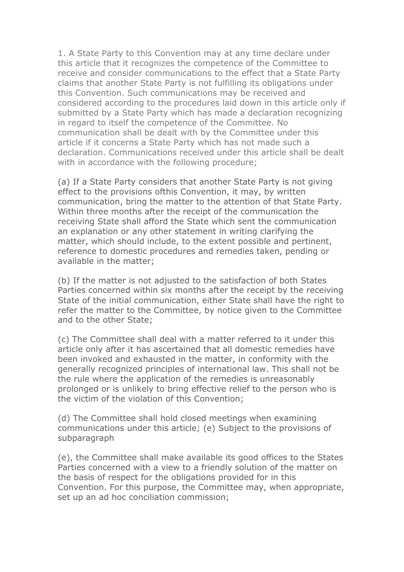1. A State Party to this Convention may at any time declare under this article that it recognizes the competence of the Committee to receive and consider communications to the effect that a State Party claims that another State Party is not fulfilling its obligations under this Convention. Such communications may be received and considered according to the procedures laid down in this article only if submitted by a State Party which has made a declaration recognizing in regard to itself the competence of the Committee. No communication shall be dealt with by the Committee under this article if it concerns a State Party which has not made such a declaration. Communications received under this article shall be dealt with in accordance with the following procedure:

(a) If a State Party considers that another State Party is not giving effect to the provisions ofthis Convention, it may, by written communication, bring the matter to the attention of that State Party. Within three months after the receipt of the communication the receiving State shall afford the State which sent the communication an explanation or any other statement in writing clarifying the matter, which should include, to the extent possible and pertinent, reference to domestic procedures and remedies taken, pending or available in the matter;

(b) If the matter is not adjusted to the satisfaction of both States Parties concerned within six months after the receipt by the receiving State of the initial communication, either State shall have the right to refer the matter to the Committee, by notice given to the Committee and to the other State;

(c) The Committee shall deal with a matter referred to it under this article only after it has ascertained that all domestic remedies have been invoked and exhausted in the matter, in conformity with the generally recognized principles of international law. This shall not be the rule where the application of the remedies is unreasonably prolonged or is unlikely to bring effective relief to the person who is the victim of the violation of this Convention;

(d) The Committee shall hold closed meetings when examining communications under this article; (e) Subject to the provisions of subparagraph

(e), the Committee shall make available its good offices to the States Parties concerned with a view to a friendly solution of the matter on the basis of respect for the obligations provided for in this Convention. For this purpose, the Committee may, when appropriate, set up an ad hoc conciliation commission;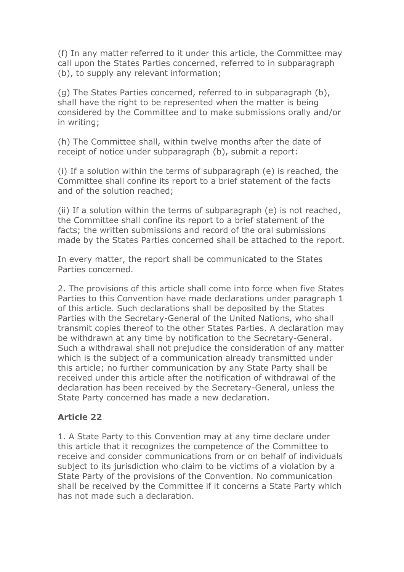(f) In any matter referred to it under this article, the Committee may call upon the States Parties concerned, referred to in subparagraph (b), to supply any relevant information;

(g) The States Parties concerned, referred to in subparagraph (b), shall have the right to be represented when the matter is being considered by the Committee and to make submissions orally and/or in writing;

(h) The Committee shall, within twelve months after the date of receipt of notice under subparagraph (b), submit a report:

(i) If a solution within the terms of subparagraph (e) is reached, the Committee shall confine its report to a brief statement of the facts and of the solution reached;

(ii) If a solution within the terms of subparagraph (e) is not reached, the Committee shall confine its report to a brief statement of the facts; the written submissions and record of the oral submissions made by the States Parties concerned shall be attached to the report.

In every matter, the report shall be communicated to the States Parties concerned.

2. The provisions of this article shall come into force when five States Parties to this Convention have made declarations under paragraph 1 of this article. Such declarations shall be deposited by the States Parties with the Secretary-General of the United Nations, who shall transmit copies thereof to the other States Parties. A declaration may be withdrawn at any time by notification to the Secretary-General. Such a withdrawal shall not prejudice the consideration of any matter which is the subject of a communication already transmitted under this article; no further communication by any State Party shall be received under this article after the notification of withdrawal of the declaration has been received by the Secretary-General, unless the State Party concerned has made a new declaration.

#### **Article 22**

1. A State Party to this Convention may at any time declare under this article that it recognizes the competence of the Committee to receive and consider communications from or on behalf of individuals subject to its jurisdiction who claim to be victims of a violation by a State Party of the provisions of the Convention. No communication shall be received by the Committee if it concerns a State Party which has not made such a declaration.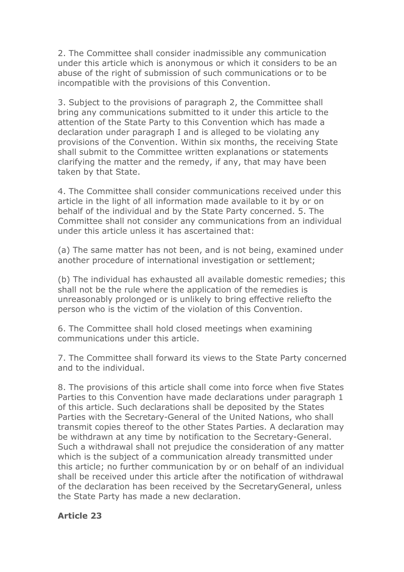2. The Committee shall consider inadmissible any communication under this article which is anonymous or which it considers to be an abuse of the right of submission of such communications or to be incompatible with the provisions of this Convention.

3. Subject to the provisions of paragraph 2, the Committee shall bring any communications submitted to it under this article to the attention of the State Party to this Convention which has made a declaration under paragraph I and is alleged to be violating any provisions of the Convention. Within six months, the receiving State shall submit to the Committee written explanations or statements clarifying the matter and the remedy, if any, that may have been taken by that State.

4. The Committee shall consider communications received under this article in the light of all information made available to it by or on behalf of the individual and by the State Party concerned. 5. The Committee shall not consider any communications from an individual under this article unless it has ascertained that:

(a) The same matter has not been, and is not being, examined under another procedure of international investigation or settlement;

(b) The individual has exhausted all available domestic remedies; this shall not be the rule where the application of the remedies is unreasonably prolonged or is unlikely to bring effective reliefto the person who is the victim of the violation of this Convention.

6. The Committee shall hold closed meetings when examining communications under this article.

7. The Committee shall forward its views to the State Party concerned and to the individual.

8. The provisions of this article shall come into force when five States Parties to this Convention have made declarations under paragraph 1 of this article. Such declarations shall be deposited by the States Parties with the Secretary-General of the United Nations, who shall transmit copies thereof to the other States Parties. A declaration may be withdrawn at any time by notification to the Secretary-General. Such a withdrawal shall not prejudice the consideration of any matter which is the subject of a communication already transmitted under this article; no further communication by or on behalf of an individual shall be received under this article after the notification of withdrawal of the declaration has been received by the SecretaryGeneral, unless the State Party has made a new declaration.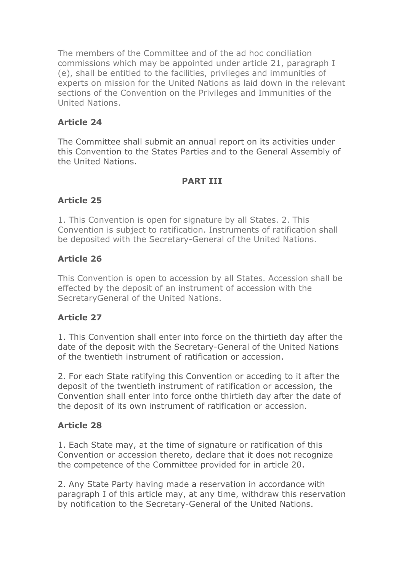The members of the Committee and of the ad hoc conciliation commissions which may be appointed under article 21, paragraph I (e), shall be entitled to the facilities, privileges and immunities of experts on mission for the United Nations as laid down in the relevant sections of the Convention on the Privileges and Immunities of the United Nations.

#### **Article 24**

The Committee shall submit an annual report on its activities under this Convention to the States Parties and to the General Assembly of the United Nations.

#### **PART III**

#### **Article 25**

1. This Convention is open for signature by all States. 2. This Convention is subject to ratification. Instruments of ratification shall be deposited with the Secretary-General of the United Nations.

# **Article 26**

This Convention is open to accession by all States. Accession shall be effected by the deposit of an instrument of accession with the SecretaryGeneral of the United Nations.

# **Article 27**

1. This Convention shall enter into force on the thirtieth day after the date of the deposit with the Secretary-General of the United Nations of the twentieth instrument of ratification or accession.

2. For each State ratifying this Convention or acceding to it after the deposit of the twentieth instrument of ratification or accession, the Convention shall enter into force onthe thirtieth day after the date of the deposit of its own instrument of ratification or accession.

# **Article 28**

1. Each State may, at the time of signature or ratification of this Convention or accession thereto, declare that it does not recognize the competence of the Committee provided for in article 20.

2. Any State Party having made a reservation in accordance with paragraph I of this article may, at any time, withdraw this reservation by notification to the Secretary-General of the United Nations.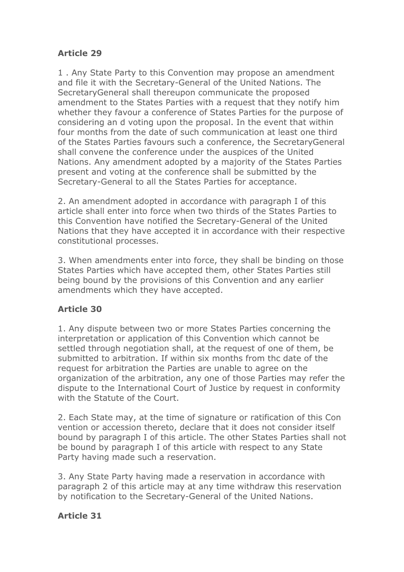#### **Article 29**

1 . Any State Party to this Convention may propose an amendment and file it with the Secretary-General of the United Nations. The SecretaryGeneral shall thereupon communicate the proposed amendment to the States Parties with a request that they notify him whether they favour a conference of States Parties for the purpose of considering an d voting upon the proposal. In the event that within four months from the date of such communication at least one third of the States Parties favours such a conference, the SecretaryGeneral shall convene the conference under the auspices of the United Nations. Any amendment adopted by a majority of the States Parties present and voting at the conference shall be submitted by the Secretary-General to all the States Parties for acceptance.

2. An amendment adopted in accordance with paragraph I of this article shall enter into force when two thirds of the States Parties to this Convention have notified the Secretary-General of the United Nations that they have accepted it in accordance with their respective constitutional processes.

3. When amendments enter into force, they shall be binding on those States Parties which have accepted them, other States Parties still being bound by the provisions of this Convention and any earlier amendments which they have accepted.

#### **Article 30**

1. Any dispute between two or more States Parties concerning the interpretation or application of this Convention which cannot be settled through negotiation shall, at the request of one of them, be submitted to arbitration. If within six months from thc date of the request for arbitration the Parties are unable to agree on the organization of the arbitration, any one of those Parties may refer the dispute to the International Court of Justice by request in conformity with the Statute of the Court.

2. Each State may, at the time of signature or ratification of this Con vention or accession thereto, declare that it does not consider itself bound by paragraph I of this article. The other States Parties shall not be bound by paragraph I of this article with respect to any State Party having made such a reservation.

3. Any State Party having made a reservation in accordance with paragraph 2 of this article may at any time withdraw this reservation by notification to the Secretary-General of the United Nations.